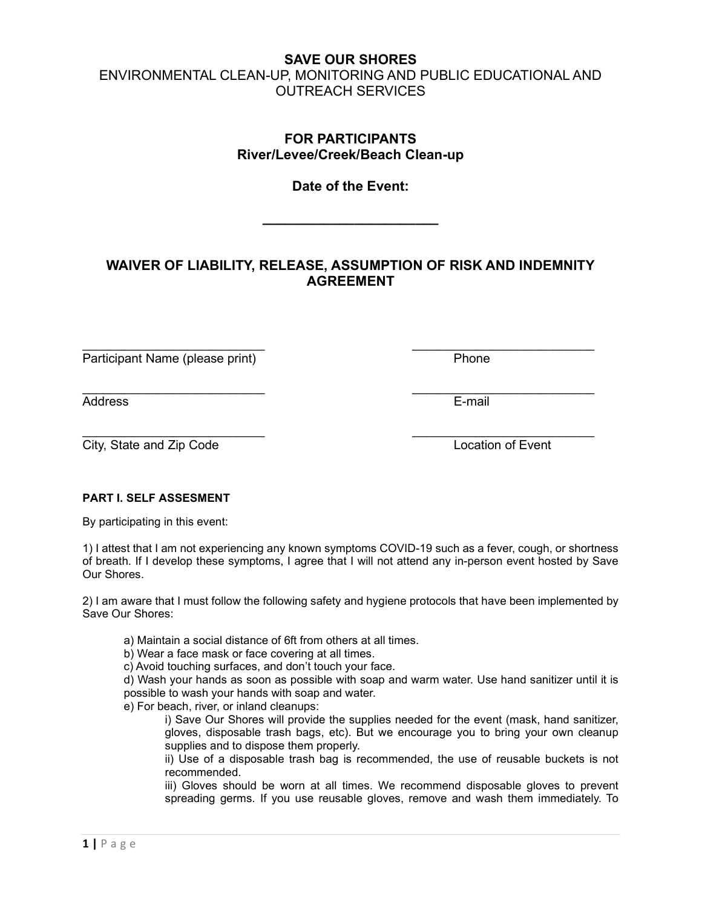# SAVE OUR SHORES ENVIRONMENTAL CLEAN-UP, MONITORING AND PUBLIC EDUCATIONAL AND OUTREACH SERVICES

## FOR PARTICIPANTS River/Levee/Creek/Beach Clean-up

## Date of the Event:

 $\overline{\phantom{a}}$  , which is a set of the set of the set of the set of the set of the set of the set of the set of the set of the set of the set of the set of the set of the set of the set of the set of the set of the set of th

# WAIVER OF LIABILITY, RELEASE, ASSUMPTION OF RISK AND INDEMNITY AGREEMENT

 $\mathcal{L}_\text{max}$  , and the contract of the contract of the contract of the contract of the contract of the contract of the contract of the contract of the contract of the contract of the contract of the contract of the contr

Participant Name (please print) Phone

Address E-mail

 $\mathcal{L}_\text{max}$  , and the contract of the contract of the contract of the contract of the contract of the contract of the contract of the contract of the contract of the contract of the contract of the contract of the contr City, State and Zip Code Location of Event

#### PART I. SELF ASSESMENT

By participating in this event:

1) I attest that I am not experiencing any known symptoms COVID-19 such as a fever, cough, or shortness of breath. If I develop these symptoms, I agree that I will not attend any in-person event hosted by Save Our Shores.

2) I am aware that I must follow the following safety and hygiene protocols that have been implemented by Save Our Shores:

a) Maintain a social distance of 6ft from others at all times.

b) Wear a face mask or face covering at all times.

c) Avoid touching surfaces, and don't touch your face.

d) Wash your hands as soon as possible with soap and warm water. Use hand sanitizer until it is possible to wash your hands with soap and water.

e) For beach, river, or inland cleanups:

i) Save Our Shores will provide the supplies needed for the event (mask, hand sanitizer, gloves, disposable trash bags, etc). But we encourage you to bring your own cleanup supplies and to dispose them properly.

ii) Use of a disposable trash bag is recommended, the use of reusable buckets is not recommended.

iii) Gloves should be worn at all times. We recommend disposable gloves to prevent spreading germs. If you use reusable gloves, remove and wash them immediately. To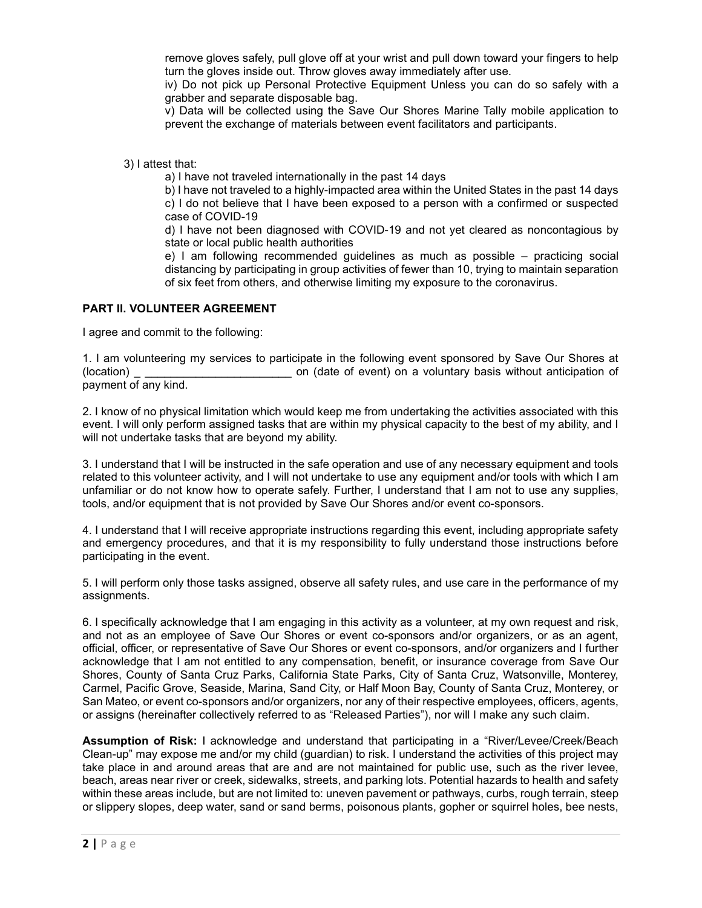remove gloves safely, pull glove off at your wrist and pull down toward your fingers to help turn the gloves inside out. Throw gloves away immediately after use.

iv) Do not pick up Personal Protective Equipment Unless you can do so safely with a grabber and separate disposable bag.

v) Data will be collected using the Save Our Shores Marine Tally mobile application to prevent the exchange of materials between event facilitators and participants.

3) I attest that:

a) I have not traveled internationally in the past 14 days

b) I have not traveled to a highly-impacted area within the United States in the past 14 days c) I do not believe that I have been exposed to a person with a confirmed or suspected case of COVID-19

d) I have not been diagnosed with COVID-19 and not yet cleared as noncontagious by state or local public health authorities

e) I am following recommended guidelines as much as possible – practicing social distancing by participating in group activities of fewer than 10, trying to maintain separation of six feet from others, and otherwise limiting my exposure to the coronavirus.

#### PART II. VOLUNTEER AGREEMENT

I agree and commit to the following:

1. I am volunteering my services to participate in the following event sponsored by Save Our Shores at (location) **the contract of the contract of event)** on a voluntary basis without anticipation of payment of any kind.

2. I know of no physical limitation which would keep me from undertaking the activities associated with this event. I will only perform assigned tasks that are within my physical capacity to the best of my ability, and I will not undertake tasks that are beyond my ability.

3. I understand that I will be instructed in the safe operation and use of any necessary equipment and tools related to this volunteer activity, and I will not undertake to use any equipment and/or tools with which I am unfamiliar or do not know how to operate safely. Further, I understand that I am not to use any supplies, tools, and/or equipment that is not provided by Save Our Shores and/or event co-sponsors.

4. I understand that I will receive appropriate instructions regarding this event, including appropriate safety and emergency procedures, and that it is my responsibility to fully understand those instructions before participating in the event.

5. I will perform only those tasks assigned, observe all safety rules, and use care in the performance of my assignments.

6. I specifically acknowledge that I am engaging in this activity as a volunteer, at my own request and risk, and not as an employee of Save Our Shores or event co-sponsors and/or organizers, or as an agent, official, officer, or representative of Save Our Shores or event co-sponsors, and/or organizers and I further acknowledge that I am not entitled to any compensation, benefit, or insurance coverage from Save Our Shores, County of Santa Cruz Parks, California State Parks, City of Santa Cruz, Watsonville, Monterey, Carmel, Pacific Grove, Seaside, Marina, Sand City, or Half Moon Bay, County of Santa Cruz, Monterey, or San Mateo, or event co-sponsors and/or organizers, nor any of their respective employees, officers, agents, or assigns (hereinafter collectively referred to as "Released Parties"), nor will I make any such claim.

Assumption of Risk: I acknowledge and understand that participating in a "River/Levee/Creek/Beach Clean-up" may expose me and/or my child (guardian) to risk. I understand the activities of this project may take place in and around areas that are and are not maintained for public use, such as the river levee, beach, areas near river or creek, sidewalks, streets, and parking lots. Potential hazards to health and safety within these areas include, but are not limited to: uneven pavement or pathways, curbs, rough terrain, steep or slippery slopes, deep water, sand or sand berms, poisonous plants, gopher or squirrel holes, bee nests,